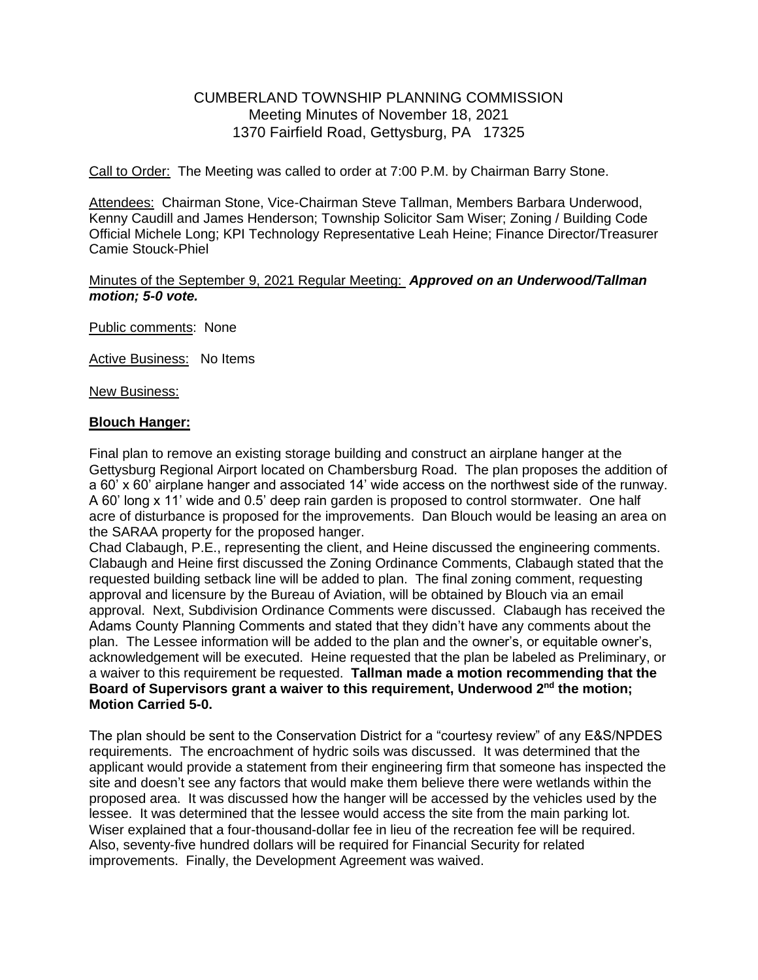# CUMBERLAND TOWNSHIP PLANNING COMMISSION Meeting Minutes of November 18, 2021 1370 Fairfield Road, Gettysburg, PA 17325

Call to Order: The Meeting was called to order at 7:00 P.M. by Chairman Barry Stone.

Attendees: Chairman Stone, Vice-Chairman Steve Tallman, Members Barbara Underwood, Kenny Caudill and James Henderson; Township Solicitor Sam Wiser; Zoning / Building Code Official Michele Long; KPI Technology Representative Leah Heine; Finance Director/Treasurer Camie Stouck-Phiel

#### Minutes of the September 9, 2021 Regular Meeting: *Approved on an Underwood/Tallman motion; 5-0 vote.*

Public comments: None

Active Business: No Items

New Business:

## **Blouch Hanger:**

Final plan to remove an existing storage building and construct an airplane hanger at the Gettysburg Regional Airport located on Chambersburg Road. The plan proposes the addition of a 60' x 60' airplane hanger and associated 14' wide access on the northwest side of the runway. A 60' long x 11' wide and 0.5' deep rain garden is proposed to control stormwater. One half acre of disturbance is proposed for the improvements. Dan Blouch would be leasing an area on the SARAA property for the proposed hanger.

Chad Clabaugh, P.E., representing the client, and Heine discussed the engineering comments. Clabaugh and Heine first discussed the Zoning Ordinance Comments, Clabaugh stated that the requested building setback line will be added to plan. The final zoning comment, requesting approval and licensure by the Bureau of Aviation, will be obtained by Blouch via an email approval. Next, Subdivision Ordinance Comments were discussed. Clabaugh has received the Adams County Planning Comments and stated that they didn't have any comments about the plan. The Lessee information will be added to the plan and the owner's, or equitable owner's, acknowledgement will be executed. Heine requested that the plan be labeled as Preliminary, or a waiver to this requirement be requested. **Tallman made a motion recommending that the**  Board of Supervisors grant a waiver to this requirement, Underwood 2<sup>nd</sup> the motion; **Motion Carried 5-0.** 

The plan should be sent to the Conservation District for a "courtesy review" of any E&S/NPDES requirements. The encroachment of hydric soils was discussed. It was determined that the applicant would provide a statement from their engineering firm that someone has inspected the site and doesn't see any factors that would make them believe there were wetlands within the proposed area. It was discussed how the hanger will be accessed by the vehicles used by the lessee. It was determined that the lessee would access the site from the main parking lot. Wiser explained that a four-thousand-dollar fee in lieu of the recreation fee will be required. Also, seventy-five hundred dollars will be required for Financial Security for related improvements. Finally, the Development Agreement was waived.